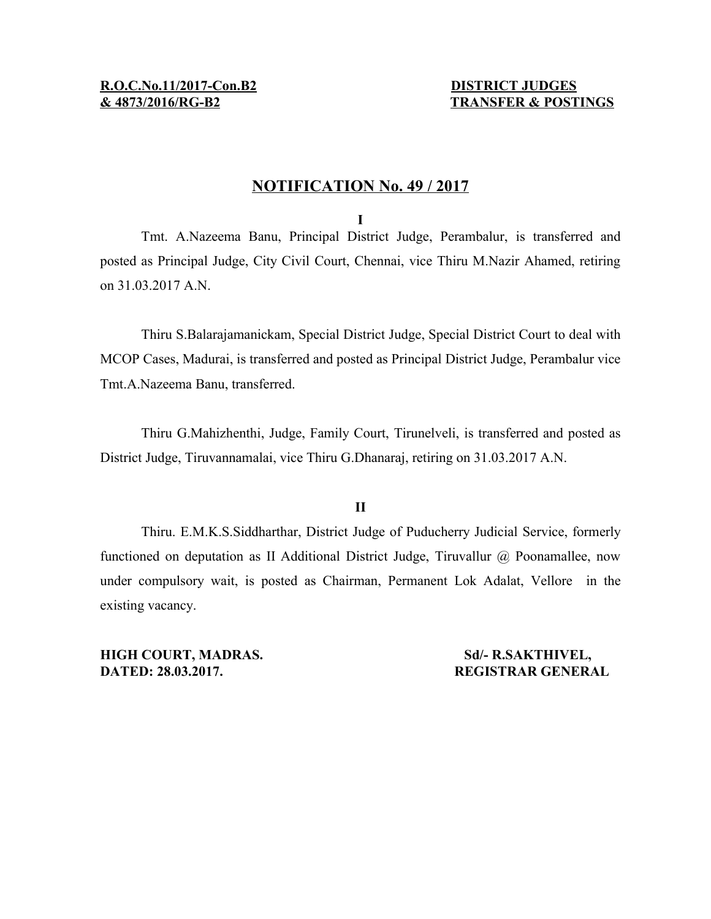# **& 4873/ 2016/RG-B2 TRANSFER & POSTINGS**

# **NOTIFICATION No. 49 / 2017**

**I**

Tmt. A.Nazeema Banu, Principal District Judge, Perambalur, is transferred and posted as Principal Judge, City Civil Court, Chennai, vice Thiru M.Nazir Ahamed, retiring on 31.03.2017 A.N.

Thiru S.Balarajamanickam, Special District Judge, Special District Court to deal with MCOP Cases, Madurai, is transferred and posted as Principal District Judge, Perambalur vice Tmt.A.Nazeema Banu, transferred.

Thiru G.Mahizhenthi, Judge, Family Court, Tirunelveli, is transferred and posted as District Judge, Tiruvannamalai, vice Thiru G.Dhanaraj, retiring on 31.03.2017 A.N.

# **II**

Thiru. E.M.K.S.Siddharthar, District Judge of Puducherry Judicial Service, formerly functioned on deputation as II Additional District Judge, Tiruvallur @ Poonamallee, now under compulsory wait, is posted as Chairman, Permanent Lok Adalat, Vellore in the existing vacancy.

**HIGH COURT, MADRAS.** Sd/- R.SAKTHIVEL, **DATED: 28.03.2017. REGISTRAR GENERAL**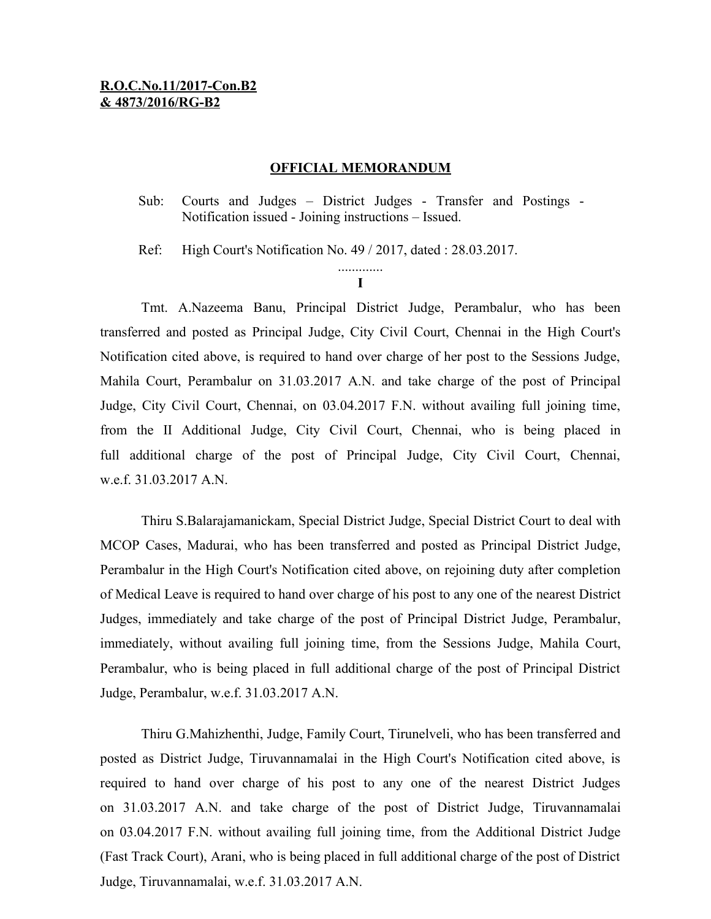## **OFFICIAL MEMORANDUM**

Sub: Courts and Judges – District Judges - Transfer and Postings - Notification issued - Joining instructions – Issued.

Ref: High Court's Notification No. 49 / 2017, dated : 28.03.2017.

**I**

Tmt. A.Nazeema Banu, Principal District Judge, Perambalur, who has been transferred and posted as Principal Judge, City Civil Court, Chennai in the High Court's Notification cited above, is required to hand over charge of her post to the Sessions Judge, Mahila Court, Perambalur on 31.03.2017 A.N. and take charge of the post of Principal Judge, City Civil Court, Chennai, on 03.04.2017 F.N. without availing full joining time, from the II Additional Judge, City Civil Court, Chennai, who is being placed in full additional charge of the post of Principal Judge, City Civil Court, Chennai, w.e.f. 31.03.2017 A.N.

Thiru S.Balarajamanickam, Special District Judge, Special District Court to deal with MCOP Cases, Madurai, who has been transferred and posted as Principal District Judge, Perambalur in the High Court's Notification cited above, on rejoining duty after completion of Medical Leave is required to hand over charge of his post to any one of the nearest District Judges, immediately and take charge of the post of Principal District Judge, Perambalur, immediately, without availing full joining time, from the Sessions Judge, Mahila Court, Perambalur, who is being placed in full additional charge of the post of Principal District Judge, Perambalur, w.e.f. 31.03.2017 A.N.

Thiru G.Mahizhenthi, Judge, Family Court, Tirunelveli, who has been transferred and posted as District Judge, Tiruvannamalai in the High Court's Notification cited above, is required to hand over charge of his post to any one of the nearest District Judges on 31.03.2017 A.N. and take charge of the post of District Judge, Tiruvannamalai on 03.04.2017 F.N. without availing full joining time, from the Additional District Judge (Fast Track Court), Arani, who is being placed in full additional charge of the post of District Judge, Tiruvannamalai, w.e.f. 31.03.2017 A.N.